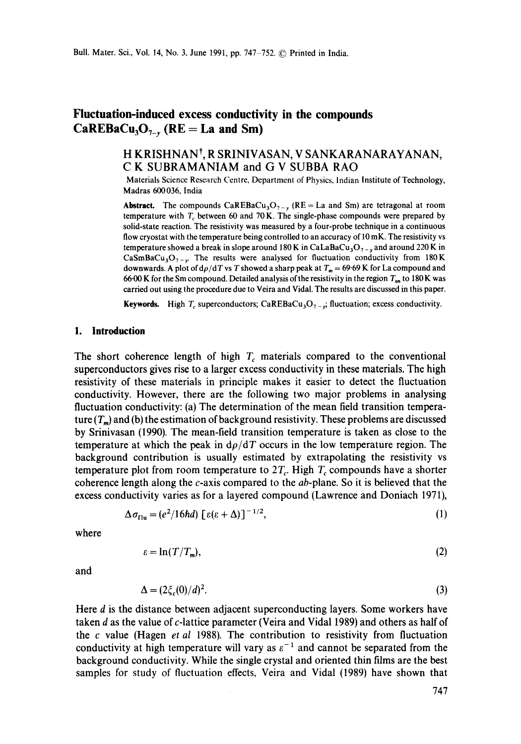# **Fluctuation-induced excess conductivity in the compounds**   $\text{CaREBaCu}_3\text{O}_{7-x}$  (RE = La and Sm)

# **H KRISHNAN t, R SRINIVASAN, V SANKARANARAYANAN, C K SUBRAMANIAM and G V SUBBA RAO**

Materials Science Research Centre, Department of Physics, Indian Institute of Technology, Madras 600 036, India

**Abstract.** The compounds  $\text{CaREBaCu}_3\text{O}_{7-x}$  (RE = La and Sm) are tetragonal at room temperature with  $T_c$  between 60 and 70 K. The single-phase compounds were prepared by solid-state reaction. The resistivity was measured by a four-probe technique in a continuous flow cryostat with the temperature being controlled to an accuracy of 10 mK. The resistivity vs temperature showed a break in slope around 180 K in CaLaBaCu<sub>3</sub>O<sub>7 - v</sub> and around 220 K in CaSmBaCu<sub>3</sub>O<sub>7-y</sub>. The results were analysed for fluctuation conductivity from 180K downwards. A plot of  $d\rho/dT$  vs T showed a sharp peak at  $T_m = 69.69$  K for La compound and 66.00 K for the Sm compound. Detailed analysis of the resistivity in the region  $T_{on}$  to 180 K was carried out using the procedure due to Veira and Vidal. The results are discussed in this paper.

Keywords. High  $T_c$  superconductors; CaREBaCu<sub>3</sub>O<sub>7</sub>  $\frac{1}{2}$ ; fluctuation; excess conductivity.

#### **1. Introduction**

The short coherence length of high  $T_c$  materials compared to the conventional superconductors gives rise to a larger excess conductivity in these materials. The high resistivity of these materials in principle makes it easier to detect the fluctuation conductivity. However, there are the following two major problems in analysing fluctuation conductivity: (a) The determination of the mean field transition temperature  $(T_m)$  and (b) the estimation of background resistivity. These problems are discussed by Srinivasan (1990), The mean-field transition temperature is taken as close to the temperature at which the peak in  $d\rho/dT$  occurs in the low temperature region. The background contribution is usually estimated by extrapolating the resistivity vs temperature plot from room temperature to  $2T_c$ . High  $T_c$  compounds have a shorter coherence length along the  $c$ -axis compared to the  $ab$ -plane. So it is believed that the excess conductivity varies as for a layered compound (Lawrence and Doniach 1971),

$$
\Delta \sigma_{\text{flu}} = (e^2/16\hbar d) \left[ \varepsilon (\varepsilon + \Delta) \right]^{-1/2},\tag{1}
$$

where

$$
\varepsilon = \ln(T/T_m),\tag{2}
$$

and

$$
\Delta = (2\xi_c(0)/d)^2. \tag{3}
$$

Here d is the distance between adjacent superconducting layers, Some workers have taken d as the value of c-lattice parameter (Veira and Vidal 1989) and others as half of the c value (Hagen *et al* 1988). The contribution to resistivity from fluctuation conductivity at high temperature will vary as  $\varepsilon^{-1}$  and cannot be separated from the background conductivity. While the single crystal and oriented thin films are the best samples for study of fluctuation effects, Veira and Vidal (1989) have shown that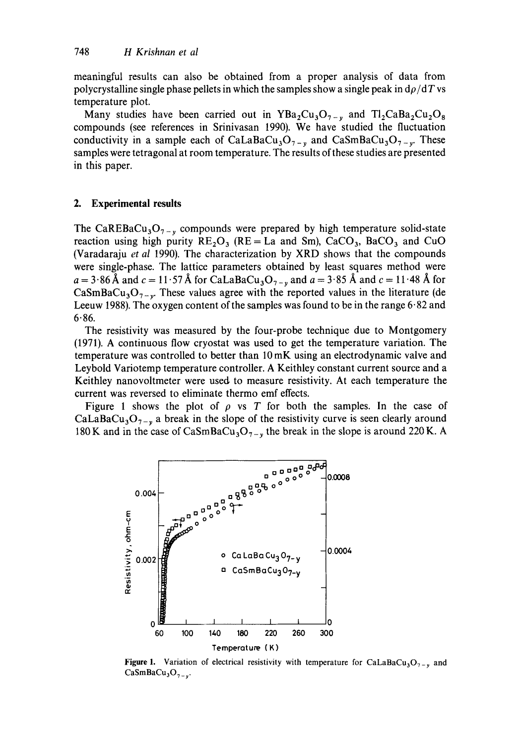meaningful results can also be obtained from a proper analysis of data from polycrystalline single phase pellets in which the samples show a single peak in  $d\rho/dT$  vs temperature plot.

Many studies have been carried out in  $YBa_2Cu_3O_{7-y}$  and  $T1_2CaBa_2Cu_2O_8$ compounds (see references in Srinivasan 1990). We have studied the fluctuation conductivity in a sample each of CaLaBaCu<sub>3</sub>O<sub>7-y</sub> and CaSmBaCu<sub>3</sub>O<sub>7-y</sub>. These samples were tetragonal at room temperature. The results of these studies are presented in this paper.

#### **2. Experimental results**

The CaREBaCu<sub>3</sub>O<sub>7-y</sub> compounds were prepared by high temperature solid-state reaction using high purity  $RE_2O_3$  (RE = La and Sm), CaCO<sub>3</sub>, BaCO<sub>3</sub> and CuO (Varadaraju *et al* 1990). The characterization by XRD shows that the compounds were single-phase. The lattice parameters obtained by least squares method were  $a = 3.86$  Å and  $c = 11.57$  Å for CaLaBaCu<sub>3</sub>O<sub>7-y</sub> and  $a = 3.85$  Å and  $c = 11.48$  Å for CaSmBaCu<sub>3</sub>O<sub>7-y</sub>. These values agree with the reported values in the literature (de Leeuw 1988). The oxygen content of the samples was found to be in the range  $6.82$  and  $6.86.$ 

The resistivity was measured by the four-probe technique due to Montgomery (1971). A continuous flow cryostat was used to get the temperature variation. The temperature was controlled to better than 10 mK using an electrodynamic valve and Leybold Variotemp temperature controller. A Keithley constant current source and a Keithley nanovoltmeter were used to measure resistivity. At each temperature the current was reversed to eliminate thermo emf effects.

Figure 1 shows the plot of  $\rho$  vs T for both the samples. In the case of CaLaBaCu<sub>3</sub>O<sub>7-y</sub> a break in the slope of the resistivity curve is seen clearly around 180 K and in the case of CaSmBaCu<sub>3</sub>O<sub>7-y</sub> the break in the slope is around 220 K. A



**Figure 1.** Variation of electrical resistivity with temperature for CaLaBaCu<sub>3</sub>O<sub>7-y</sub> and  $CaSmBaCu<sub>3</sub>O<sub>7-x</sub>$ .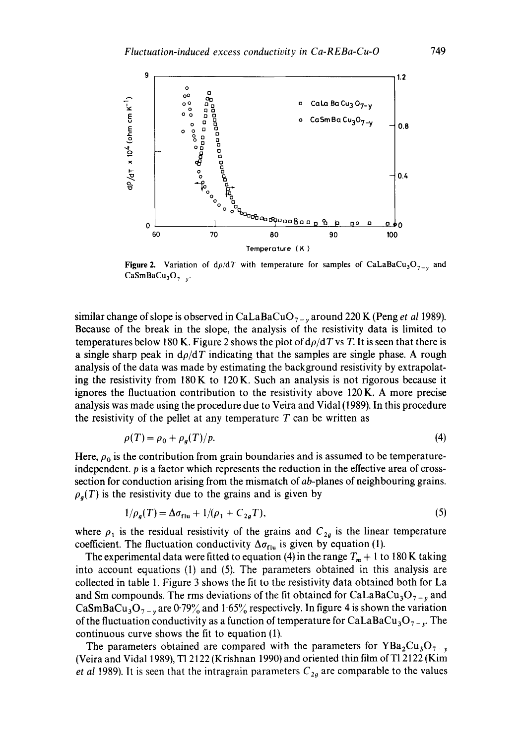

**Figure 2.** Variation of  $d\rho/dT$  with temperature for samples of CaLaBaCu<sub>3</sub>O<sub>7-y</sub> and  $CaSmBaCu<sub>3</sub>O<sub>7-x</sub>$ .

similar change of slope is observed in CaLaBaCuO<sub>7 - v</sub> around 220 K (Peng *et al* 1989). Because of the break in the slope, the analysis of the resistivity data is limited to temperatures below 180 K. Figure 2 shows the plot of  $d\rho/dT$  vs T. It is seen that there is a single sharp peak in  $d\rho/dT$  indicating that the samples are single phase. A rough analysis of the data was made by estimating the background resistivity by extrapolating the resistivity from  $180K$  to  $120K$ . Such an analysis is not rigorous because it ignores the fluctuation contribution to the resistivity above 120 K. A more precise analysis was made using the procedure due to Veira and Vidal (1989). In this procedure the resistivity of the pellet at any temperature  $T$  can be written as

$$
\rho(T) = \rho_0 + \rho_g(T)/p. \tag{4}
$$

Here,  $\rho_0$  is the contribution from grain boundaries and is assumed to be temperatureindependent,  $p$  is a factor which represents the reduction in the effective area of crosssection for conduction arising from the mismatch of ab-planes of neighbouring grains.  $\rho_a(T)$  is the resistivity due to the grains and is given by

$$
1/\rho_g(T) = \Delta \sigma_{\text{flu}} + 1/(\rho_1 + C_{2g}T),\tag{5}
$$

where  $\rho_1$  is the residual resistivity of the grains and  $C_{2a}$  is the linear temperature coefficient. The fluctuation conductivity  $\Delta\sigma_{\text{flu}}$  is given by equation (1).

The experimental data were fitted to equation (4) in the range  $T_m + 1$  to 180 K taking into account equations (1) and (5). The parameters obtained in this analysis are collected in table 1. Figure 3 shows the fit to the resistivity data obtained both for La and Sm compounds. The rms deviations of the fit obtained for  $CaLaBaCu<sub>3</sub>O<sub>7-y</sub>$  and CaSmBaCu<sub>3</sub>O<sub>7-y</sub> are 0.79% and 1.65% respectively. In figure 4 is shown the variation of the fluctuation conductivity as a function of temperature for CaLaBaCu<sub>3</sub>O<sub>7-y</sub>. The continuous curve shows the fit to equation (1).

The parameters obtained are compared with the parameters for  $YBa<sub>2</sub>Cu<sub>3</sub>O<sub>7-y</sub>$ (Veira and Vidal 1989), Tl 2122 (Krishnan 1990) and oriented thin film of Tl 2122 (Kim *et al* 1989). It is seen that the intragrain parameters  $C_{2g}$  are comparable to the values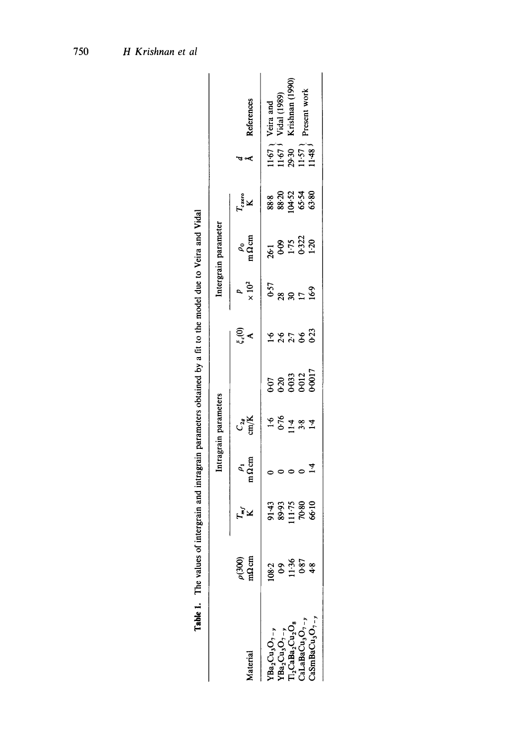|                                                                                                                                                                |                                                              |                                  |                                      | Intragrain parameters                                                 |                                          |                   |                       | Intergrain parameter               |                    |                                                                          |                                                     |
|----------------------------------------------------------------------------------------------------------------------------------------------------------------|--------------------------------------------------------------|----------------------------------|--------------------------------------|-----------------------------------------------------------------------|------------------------------------------|-------------------|-----------------------|------------------------------------|--------------------|--------------------------------------------------------------------------|-----------------------------------------------------|
| faterial                                                                                                                                                       | $\rho(300)$                                                  | ב¥<br>⊾≆                         | $\frac{\rho_1}{\Omega \, \text{cm}}$ | $\frac{C_{2g}}{2M}$                                                   |                                          | ୍ଟୁ<br>"          | $\frac{p}{\infty}$    | $\frac{\rho_0}{n\Omega \text{cm}}$ | $T_{\rm zero}$ K   | $\sim$                                                                   | <b>Leferences</b>                                   |
|                                                                                                                                                                |                                                              |                                  |                                      |                                                                       |                                          |                   |                       |                                    |                    |                                                                          |                                                     |
| ${\rm YBa_2Cu_3O_{7-}}\atop {\rm YBa_2Cu_3O_{7-}}\atop {\rm T1\_CABA_2Cu_2O_8}\atop {\rm CalABaCu_3O_{7-}}\atop {\rm CalABaCu_3O_{7-}}\atop {\rm C1\_CABA_3~}$ | $\begin{array}{c} 108.2 \\ 0.9 \\ 11.36 \\ 0.87 \end{array}$ | 91.43<br>89.97<br>70.80<br>70.80 |                                      | $\frac{66}{10}$<br>$\frac{4}{10}$<br>$\frac{8}{10}$<br>$\frac{4}{10}$ | င် ၁ ၁ ၁ ၁ ၁<br>၁ ၁ ၁ ၁ ၁ ၁<br>၁ ၁ ၁ ၁ ၁ | s er e si<br>1233 | 057<br>0885169<br>169 | 785528<br>65528<br>8552            | ******<br>******** | $\frac{15}{15}$<br>$\frac{53}{25}$<br>$\frac{57}{15}$<br>$\frac{48}{11}$ | (1989)<br>Veira and<br>Vidal (1989)<br>Krishnan (1! |
|                                                                                                                                                                |                                                              |                                  |                                      |                                                                       |                                          |                   |                       |                                    |                    |                                                                          |                                                     |
|                                                                                                                                                                |                                                              |                                  |                                      |                                                                       |                                          |                   |                       |                                    |                    |                                                                          | resent work                                         |
| $\text{LamBaCu}_3\text{O}_{7-y}$                                                                                                                               | 4.8                                                          |                                  | $rac{4}{14}$                         |                                                                       |                                          |                   |                       |                                    |                    |                                                                          |                                                     |

Table 1. The values of intergrain and intragrain parameters obtained by a fit to the model due to Veira and Vidal **Table 1.** The values of intergrain and intragrain parameters obtained by a fit to the model due to Veira and Vidal

750 H Krishnan et al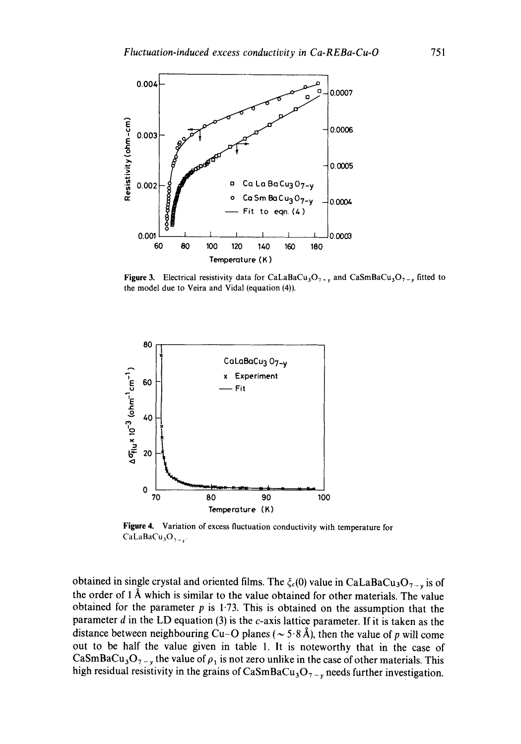

**Figure 3.** Electrical resistivity data for CaLaBaCu<sub>3</sub>O<sub>7-y</sub> and CaSmBaCu<sub>3</sub>O<sub>7-y</sub> fitted to **the model due to Veira and Vidal (equation** (4)).



**Figure 4. Variation of excess fluctuation conductivity with temperature for**   $CaLaBaCu<sub>3</sub>O<sub>7-x</sub>$ 

obtained in single crystal and oriented films. The  $\xi_c(0)$  value in CaLaBaCu<sub>3</sub>O<sub>7-y</sub> is of **the order of 1 A which is similar to the value obtained for other materials. The value obtained for the parameter p is 1-73. This is obtained on the assumption that the parameter d in the LD equation (3) is the c-axis lattice parameter. If it is taken as the**  distance between neighbouring Cu-O planes ( $\sim$  5.8 Å), then the value of p will come **out to be half the value given in table 1. It is noteworthy that in the case of**  CaSmBaCu<sub>3</sub>O<sub>7-y</sub> the value of  $\rho_1$  is not zero unlike in the case of other materials. This high residual resistivity in the grains of  $CaSmBaCu<sub>3</sub>O<sub>7-y</sub>$  needs further investigation.